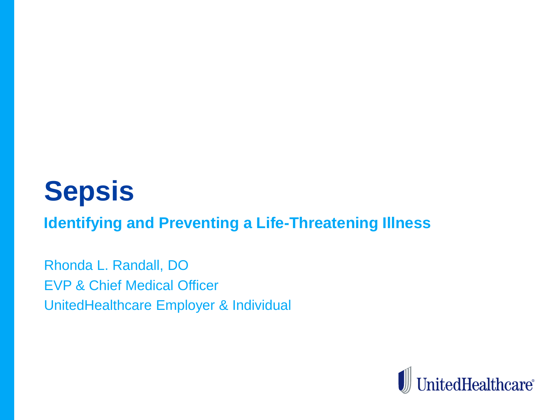# **Sepsis**

**Identifying and Preventing a Life-Threatening Illness**

Rhonda L. Randall, DO EVP & Chief Medical Officer UnitedHealthcare Employer & Individual

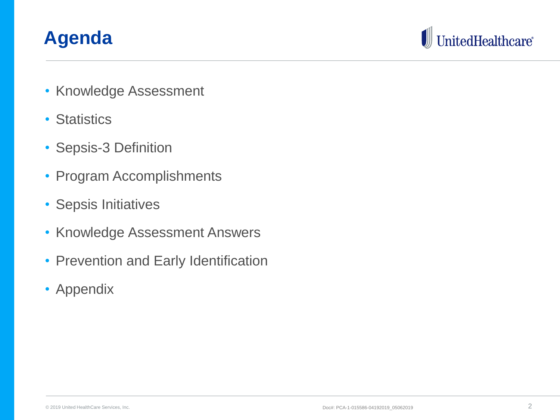#### **Agenda**



- Knowledge Assessment
- Statistics
- Sepsis-3 Definition
- Program Accomplishments
- Sepsis Initiatives
- Knowledge Assessment Answers
- Prevention and Early Identification
- Appendix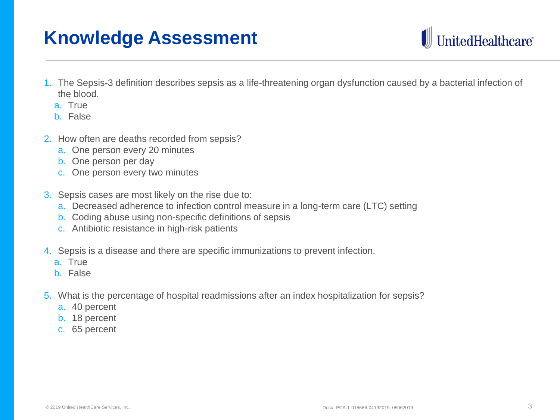#### **Knowledge Assessment**



- 1. The Sepsis-3 definition describes sepsis as a life-threatening organ dysfunction caused by a bacterial infection of the blood.
	- a. True
	- b. False
- 2. How often are deaths recorded from sepsis?
	- a. One person every 20 minutes
	- b. One person per day
	- c. One person every two minutes
- 3. Sepsis cases are most likely on the rise due to:
	- a. Decreased adherence to infection control measure in a long-term care (LTC) setting
	- b. Coding abuse using non-specific definitions of sepsis
	- c. Antibiotic resistance in high-risk patients
- 4. Sepsis is a disease and there are specific immunizations to prevent infection.
	- a. True
	- b. False
- 5. What is the percentage of hospital readmissions after an index hospitalization for sepsis?
	- a. 40 percent
	- b. 18 percent
	- c. 65 percent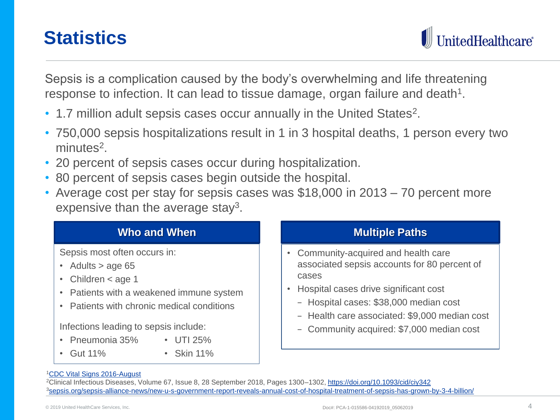#### **Statistics**

itedHealthcare®

Sepsis is a complication caused by the body's overwhelming and life threatening response to infection. It can lead to tissue damage, organ failure and death<sup>1</sup>.

- 1.7 million adult sepsis cases occur annually in the United States<sup>2</sup>.
- 750,000 sepsis hospitalizations result in 1 in 3 hospital deaths, 1 person every two minutes<sup>2</sup>.
- 20 percent of sepsis cases occur during hospitalization.
- 80 percent of sepsis cases begin outside the hospital.
- Average cost per stay for sepsis cases was \$18,000 in 2013 70 percent more expensive than the average stay<sup>3</sup>.

| Who and When                                                                                                                                                                                                                                                                        | <b>Multiple Paths</b>                                                                                                                                                                                                                                                        |
|-------------------------------------------------------------------------------------------------------------------------------------------------------------------------------------------------------------------------------------------------------------------------------------|------------------------------------------------------------------------------------------------------------------------------------------------------------------------------------------------------------------------------------------------------------------------------|
| Sepsis most often occurs in:<br>• Adults $>$ age 65<br>• Children $<$ age 1<br>• Patients with a weakened immune system<br>Patients with chronic medical conditions<br>Infections leading to sepsis include:<br>• Pneumonia 35%<br>$\cdot$ UTI 25%<br>$\cdot$ Skin 11%<br>• Gut 11% | Community-acquired and health care<br>associated sepsis accounts for 80 percent of<br>cases<br>Hospital cases drive significant cost<br>- Hospital cases: \$38,000 median cost<br>- Health care associated: \$9,000 median cost<br>- Community acquired: \$7,000 median cost |

#### <sup>1</sup>[CDC Vital Signs 2016-August](https://www.cdc.gov/vitalsigns/pdf/2016-08-vitalsigns.pdf)

<sup>2</sup>Clinical Infectious Diseases, Volume 67, Issue 8, 28 September 2018, Pages 1300–1302, <https://doi.org/10.1093/cid/ciy342> <sup>3</sup>[sepsis.org/sepsis-alliance-news/new-u-s-government-report-reveals-annual-cost-of-hospital-treatment-of-sepsis-has-grown-by-3-4-billion/](https://www.sepsis.org/sepsis-alliance-news/new-u-s-government-report-reveals-annual-cost-of-hospital-treatment-of-sepsis-has-grown-by-3-4-billion/)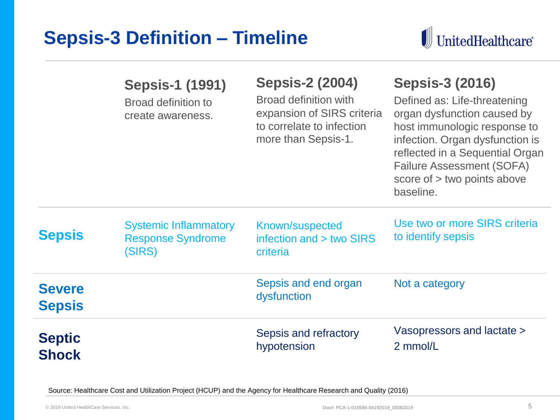#### **Sepsis-3 Definition – Timeline**



|                                | <b>Sepsis-1 (1991)</b><br><b>Broad definition to</b><br>create awareness. | <b>Sepsis-2 (2004)</b><br><b>Broad definition with</b><br>expansion of SIRS criteria<br>to correlate to infection<br>more than Sepsis-1. | <b>Sepsis-3 (2016)</b><br>Defined as: Life-threatening<br>organ dysfunction caused by<br>host immunologic response to<br>infection. Organ dysfunction is<br>reflected in a Sequential Organ<br><b>Failure Assessment (SOFA)</b><br>score of > two points above<br>baseline. |
|--------------------------------|---------------------------------------------------------------------------|------------------------------------------------------------------------------------------------------------------------------------------|-----------------------------------------------------------------------------------------------------------------------------------------------------------------------------------------------------------------------------------------------------------------------------|
| <b>Sepsis</b>                  | <b>Systemic Inflammatory</b><br><b>Response Syndrome</b><br>(SIRS)        | Known/suspected<br>infection and > two SIRS<br>criteria                                                                                  | Use two or more SIRS criteria<br>to identify sepsis                                                                                                                                                                                                                         |
| <b>Severe</b><br><b>Sepsis</b> |                                                                           | Sepsis and end organ<br>dysfunction                                                                                                      | Not a category                                                                                                                                                                                                                                                              |
| <b>Septic</b><br><b>Shock</b>  |                                                                           | Sepsis and refractory<br>hypotension                                                                                                     | Vasopressors and lactate ><br>2 mmol/L                                                                                                                                                                                                                                      |

Source: Healthcare Cost and Utilization Project (HCUP) and the Agency for Healthcare Research and Quality (2016)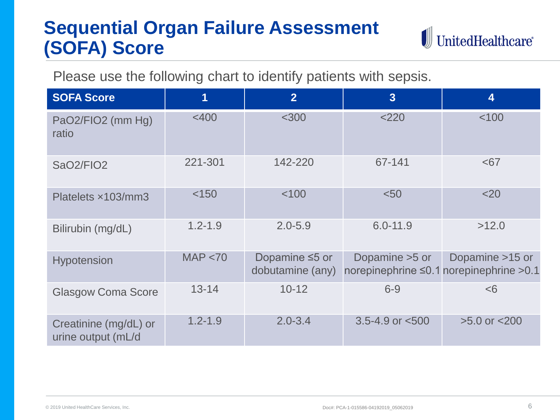# **Sequential Organ Failure Assessment (SOFA) Score**



Please use the following chart to identify patients with sepsis.

| <b>SOFA Score</b>                           | 1           | $\overline{2}$                           | $\overline{3}$                                             | $\overline{\mathbf{4}}$ |
|---------------------------------------------|-------------|------------------------------------------|------------------------------------------------------------|-------------------------|
| PaO2/FIO2 (mm Hg)<br>ratio                  | $<$ 400     | $<$ 300                                  | 2220                                                       | < 100                   |
| SaO2/FIO2                                   | 221-301     | 142-220                                  | 67-141                                                     | $67$                    |
| Platelets x103/mm3                          | < 150       | < 100                                    | < 50                                                       | $<$ 20                  |
| Bilirubin (mg/dL)                           | $1.2 - 1.9$ | $2.0 - 5.9$                              | $6.0 - 11.9$                                               | >12.0                   |
| <b>Hypotension</b>                          | MAP < 70    | Dopamine $\leq$ 5 or<br>dobutamine (any) | Dopamine > 5 or<br>norepinephrine ≤0.1 norepinephrine >0.1 | Dopamine >15 or         |
| <b>Glasgow Coma Score</b>                   | $13 - 14$   | $10 - 12$                                | $6 - 9$                                                    | <6                      |
| Creatinine (mg/dL) or<br>urine output (mL/d | $1.2 - 1.9$ | $2.0 - 3.4$                              | 3.5-4.9 or $<$ 500                                         | $>5.0$ or $< 200$       |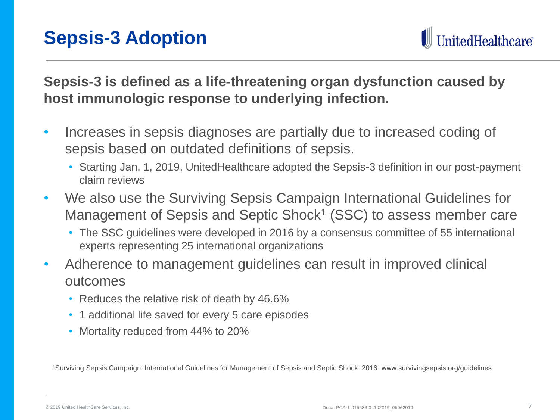itedHealthcare®

**Sepsis-3 is defined as a life-threatening organ dysfunction caused by host immunologic response to underlying infection.** 

- Increases in sepsis diagnoses are partially due to increased coding of sepsis based on outdated definitions of sepsis.
	- Starting Jan. 1, 2019, UnitedHealthcare adopted the Sepsis-3 definition in our post-payment claim reviews
- We also use the Surviving Sepsis Campaign International Guidelines for Management of Sepsis and Septic Shock<sup>1</sup> (SSC) to assess member care
	- The SSC guidelines were developed in 2016 by a consensus committee of 55 international experts representing 25 international organizations
- Adherence to management guidelines can result in improved clinical outcomes
	- Reduces the relative risk of death by 46.6%
	- 1 additional life saved for every 5 care episodes
	- Mortality reduced from 44% to 20%

1Surviving Sepsis Campaign: International Guidelines for Management of Sepsis and Septic Shock: 2016: www.survivingsepsis.org/guidelines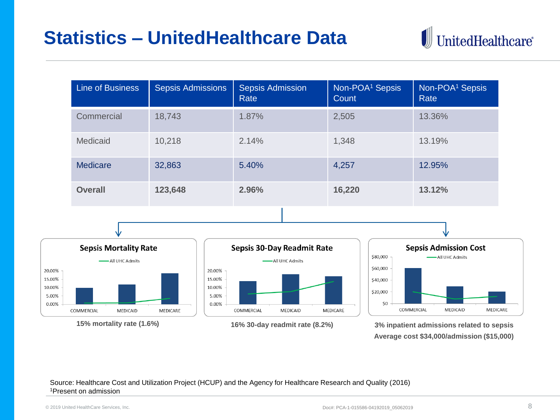#### **Statistics – UnitedHealthcare Data**



| Line of Business | <b>Sepsis Admissions</b> | <b>Sepsis Admission</b><br>Rate | Non-POA <sup>1</sup> Sepsis<br>Count | Non-POA <sup>1</sup> Sepsis<br>Rate |
|------------------|--------------------------|---------------------------------|--------------------------------------|-------------------------------------|
| Commercial       | 18,743                   | 1.87%                           | 2,505                                | 13.36%                              |
| Medicaid         | 10,218                   | 2.14%                           | 1,348                                | 13.19%                              |
| Medicare         | 32,863                   | 5.40%                           | 4,257                                | 12.95%                              |
| <b>Overall</b>   | 123,648                  | 2.96%                           | 16,220                               | 13.12%                              |









**Average cost \$34,000/admission (\$15,000)**

#### Source: Healthcare Cost and Utilization Project (HCUP) and the Agency for Healthcare Research and Quality (2016) <sup>1</sup>Present on admission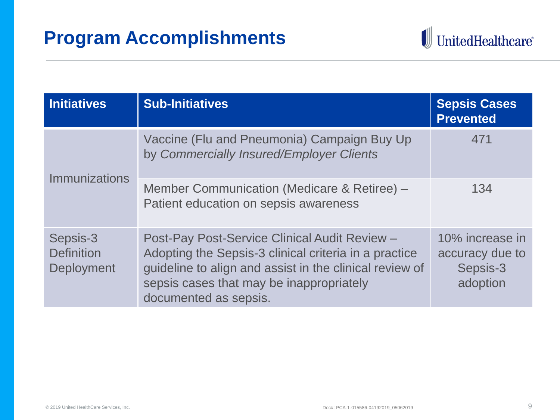

| <b>Initiatives</b>                          | <b>Sub-Initiatives</b>                                                                                                                                                                                                                 | <b>Sepsis Cases</b><br><b>Prevented</b>                    |
|---------------------------------------------|----------------------------------------------------------------------------------------------------------------------------------------------------------------------------------------------------------------------------------------|------------------------------------------------------------|
| <b>Immunizations</b>                        | Vaccine (Flu and Pneumonia) Campaign Buy Up<br>by Commercially Insured/Employer Clients                                                                                                                                                | 471                                                        |
|                                             | Member Communication (Medicare & Retiree) -<br>Patient education on sepsis awareness                                                                                                                                                   | 134                                                        |
| Sepsis-3<br><b>Definition</b><br>Deployment | Post-Pay Post-Service Clinical Audit Review -<br>Adopting the Sepsis-3 clinical criteria in a practice<br>guideline to align and assist in the clinical review of<br>sepsis cases that may be inappropriately<br>documented as sepsis. | 10% increase in<br>accuracy due to<br>Sepsis-3<br>adoption |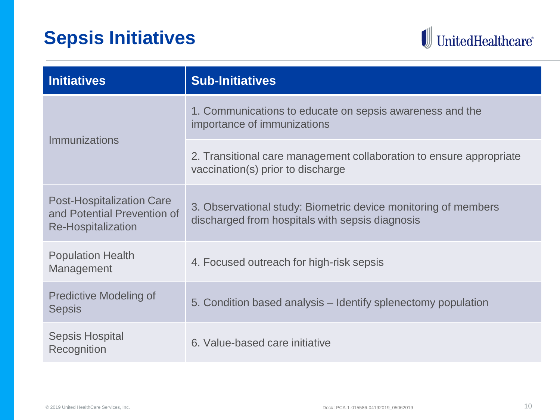## **Sepsis Initiatives**



| <b>Initiatives</b>                                                                           | <b>Sub-Initiatives</b>                                                                                            |
|----------------------------------------------------------------------------------------------|-------------------------------------------------------------------------------------------------------------------|
| <b>Immunizations</b>                                                                         | 1. Communications to educate on sepsis awareness and the<br>importance of immunizations                           |
|                                                                                              | 2. Transitional care management collaboration to ensure appropriate<br>vaccination(s) prior to discharge          |
| <b>Post-Hospitalization Care</b><br>and Potential Prevention of<br><b>Re-Hospitalization</b> | 3. Observational study: Biometric device monitoring of members<br>discharged from hospitals with sepsis diagnosis |
| <b>Population Health</b><br>Management                                                       | 4. Focused outreach for high-risk sepsis                                                                          |
| <b>Predictive Modeling of</b><br><b>Sepsis</b>                                               | 5. Condition based analysis – Identify splenectomy population                                                     |
| <b>Sepsis Hospital</b><br>Recognition                                                        | 6. Value-based care initiative                                                                                    |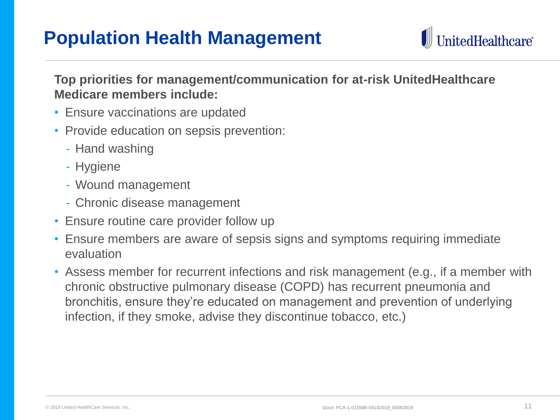#### **Population Health Management**



**Top priorities for management/communication for at-risk UnitedHealthcare Medicare members include:**

- Ensure vaccinations are updated
- Provide education on sepsis prevention:
	- Hand washing
	- Hygiene
	- Wound management
	- Chronic disease management
- Ensure routine care provider follow up
- Ensure members are aware of sepsis signs and symptoms requiring immediate evaluation
- Assess member for recurrent infections and risk management (e.g., if a member with chronic obstructive pulmonary disease (COPD) has recurrent pneumonia and bronchitis, ensure they're educated on management and prevention of underlying infection, if they smoke, advise they discontinue tobacco, etc.)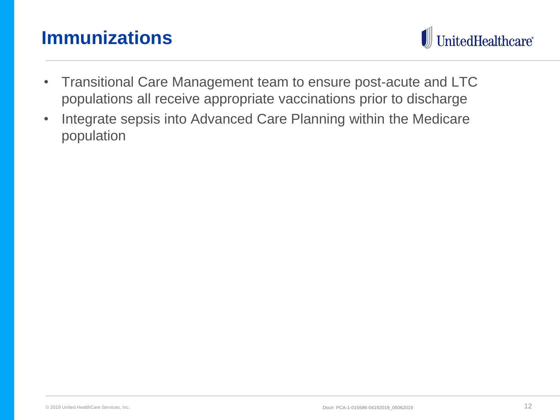#### **Immunizations**



- Transitional Care Management team to ensure post-acute and LTC populations all receive appropriate vaccinations prior to discharge
- Integrate sepsis into Advanced Care Planning within the Medicare population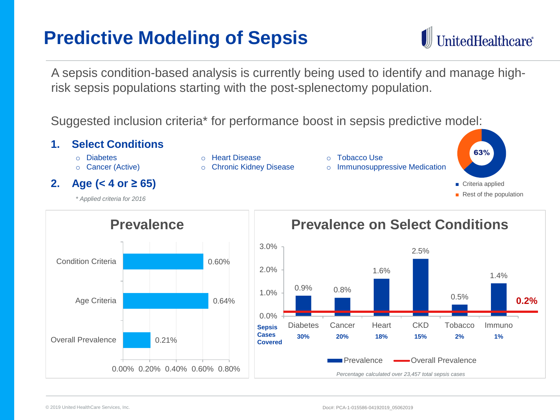# **Predictive Modeling of Sepsis**

A sepsis condition-based analysis is currently being used to identify and manage highrisk sepsis populations starting with the post-splenectomy population.

Suggested inclusion criteria\* for performance boost in sepsis predictive model:





#### **Prevalence on Select Conditions**

UnitedHealthcare®

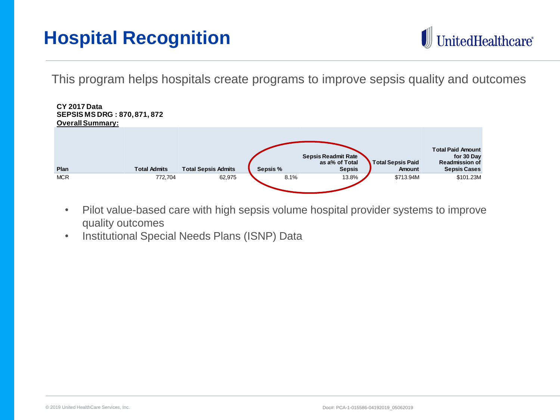# **Hospital Recognition**



This program helps hospitals create programs to improve sepsis quality and outcomes



- Pilot value-based care with high sepsis volume hospital provider systems to improve quality outcomes
- Institutional Special Needs Plans (ISNP) Data Criteria : Atleast 100 Sepsis admits (total for all 3 LOB)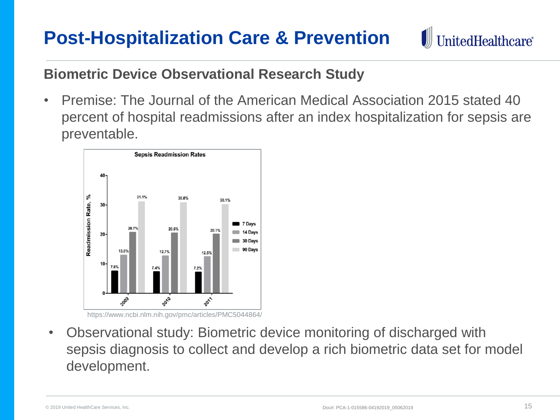#### **Post-Hospitalization Care & Prevention**

UnitedHealthcare<sup>®</sup>

#### **Biometric Device Observational Research Study**

• Premise: The Journal of the American Medical Association 2015 stated 40 percent of hospital readmissions after an index hospitalization for sepsis are preventable.



https://www.ncbi.nlm.nih.gov/pmc/articles/PMC5044864/

• Observational study: Biometric device monitoring of discharged with sepsis diagnosis to collect and develop a rich biometric data set for model development.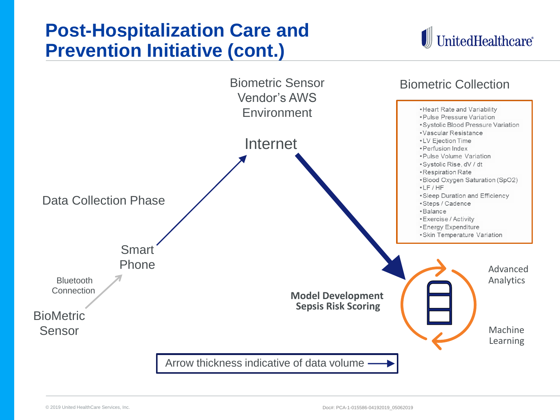#### **Post-Hospitalization Care and Prevention Initiative (cont.)**



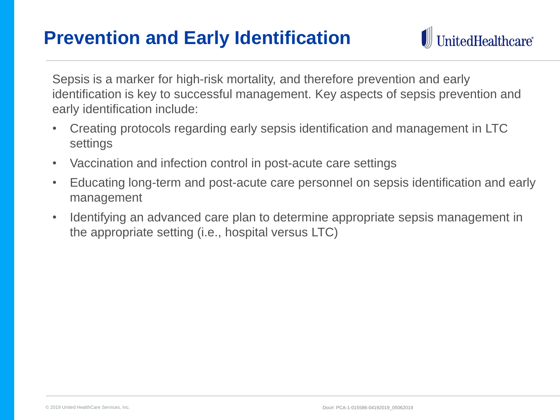#### **Prevention and Early Identification**



Sepsis is a marker for high-risk mortality, and therefore prevention and early identification is key to successful management. Key aspects of sepsis prevention and early identification include:

- Creating protocols regarding early sepsis identification and management in LTC settings
- Vaccination and infection control in post-acute care settings
- Educating long-term and post-acute care personnel on sepsis identification and early management
- Identifying an advanced care plan to determine appropriate sepsis management in the appropriate setting (i.e., hospital versus LTC)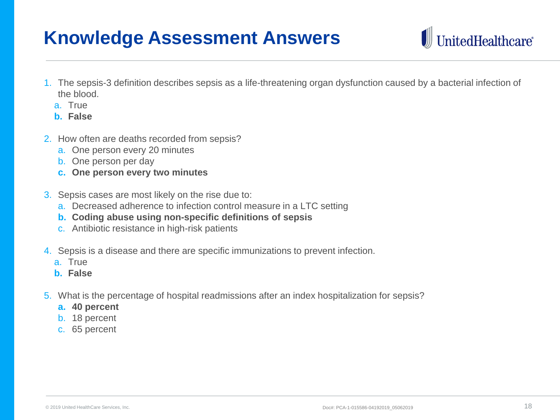#### **Knowledge Assessment Answers**

- 1. The sepsis-3 definition describes sepsis as a life-threatening organ dysfunction caused by a bacterial infection of the blood.
	- a. True
	- **b. False**
- 2. How often are deaths recorded from sepsis?
	- a. One person every 20 minutes
	- b. One person per day
	- **c. One person every two minutes**
- 3. Sepsis cases are most likely on the rise due to:
	- a. Decreased adherence to infection control measure in a LTC setting
	- **b. Coding abuse using non-specific definitions of sepsis**
	- c. Antibiotic resistance in high-risk patients
- 4. Sepsis is a disease and there are specific immunizations to prevent infection.
	- a. True
	- **b. False**
- 5. What is the percentage of hospital readmissions after an index hospitalization for sepsis?
	- **a. 40 percent**
	- b. 18 percent
	- c. 65 percent

UnitedHealthcare®